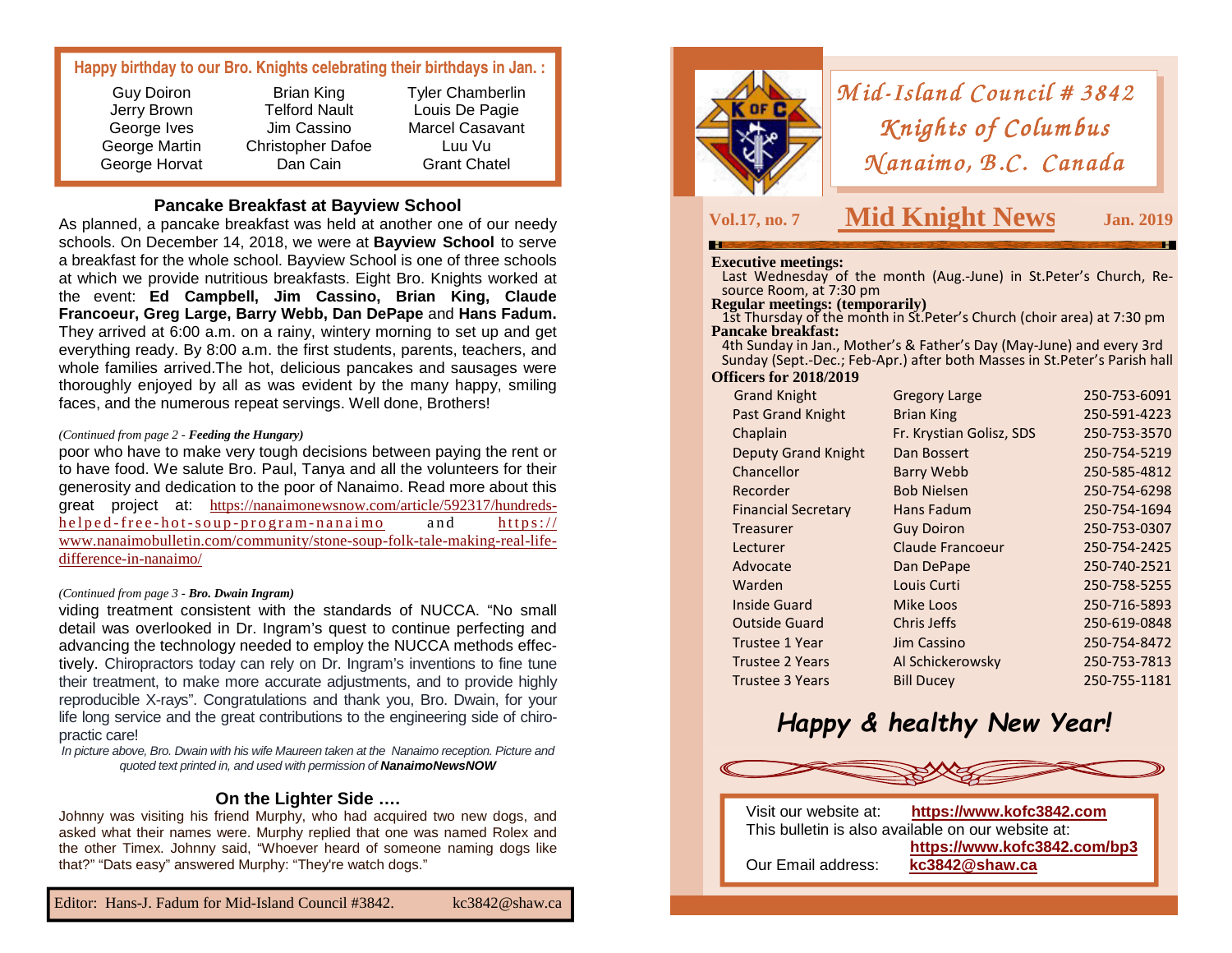#### **Happy birthday to our Bro. Knights celebrating their birthdays in Jan. :**

#### **Pancake Breakfast at Bayview School**

 As planned, a pancake breakfast was held at another one of our needy schools. On December 14, 2018, we were at **Bayview School** to serve a breakfast for the whole school. Bayview School is one of three schools at which we provide nutritious breakfasts. Eight Bro. Knights worked at the event: **Ed Campbell, Jim Cassino, Brian King, Claude Francoeur, Greg Large, Barry Webb, Dan DePape** and **Hans Fadum.** They arrived at 6:00 a.m. on a rainy, wintery morning to set up and get everything ready. By 8:00 a.m. the first students, parents, teachers, and whole families arrived.The hot, delicious pancakes and sausages were thoroughly enjoyed by all as was evident by the many happy, smiling faces, and the numerous repeat servings. Well done, Brothers!

#### *(Continued from page 2 - Feeding the Hungary)*

poor who have to make very tough decisions between paying the rent or to have food. We salute Bro. Paul, Tanya and all the volunteers for their generosity and dedication to the poor of Nanaimo. Read more about this great project at: https://nanaimonewsnow.com/article/592317/hundredshe l p e d - f r e e - h o t - s o u p - p r o g r a m - n a n a i m o a n d https:// www.nanaimobulletin.com/community/stone-soup-folk-tale-making-real-lifedifference-in-nanaimo/

#### *(Continued from page 3 - Bro. Dwain Ingram)*

viding treatment consistent with the standards of NUCCA. "No small detail was overlooked in Dr. Ingram's quest to continue perfecting and advancing the technology needed to employ the NUCCA methods effectively. Chiropractors today can rely on Dr. Ingram's inventions to fine tune their treatment, to make more accurate adjustments, and to provide highly reproducible X-rays". Congratulations and thank you, Bro. Dwain, for your life long service and the great contributions to the engineering side of chiropractic care!

 In picture above, Bro. Dwain with his wife Maureen taken at the Nanaimo reception. Picture and quoted text printed in, and used with permission of **NanaimoNewsNOW** 

#### **On the Lighter Side ….**

 Johnny was visiting his friend Murphy, who had acquired two new dogs, and asked what their names were. Murphy replied that one was named Rolex and the other Timex. Johnny said, "Whoever heard of someone naming dogs like that?" "Dats easy" answered Murphy: "They're watch dogs."



# *Mid-Island Council # 3842*<br>*Knights of Columbus Knights of Columbus<br>(anaimo, B.C. Canadı <sup>N</sup> anaim o, B .C. Canada No, Canada*

### **Vol.17, no. 7 Mid Knight News**

**Dec./Jan. Jan. 2019** 

**Executive meetings:** Last Wednesday of the month (Aug.-June) in St.Peter's Church, Resource Room, at 7:30 pm

#### **Regular meetings: (temporarily)**

**1st Thursday of the month in St. Peter's Church (choir area) at 7:30 pm Pancake breakfast:** 

 4th Sunday in Jan., Mother's & Father's Day (May-June) and every 3rd Sunday (Sept.-Dec.; Feb-Apr.) after both Masses in St.Peter's Parish hall **Officers for 2018/2019** 

| <b>Grand Knight</b>        | <b>Gregory Large</b>     | 250-753-6091 |
|----------------------------|--------------------------|--------------|
| <b>Past Grand Knight</b>   | <b>Brian King</b>        | 250-591-4223 |
| Chaplain                   | Fr. Krystian Golisz, SDS | 250-753-3570 |
| <b>Deputy Grand Knight</b> | Dan Bossert              | 250-754-5219 |
| Chancellor                 | <b>Barry Webb</b>        | 250-585-4812 |
| Recorder                   | <b>Bob Nielsen</b>       | 250-754-6298 |
| <b>Financial Secretary</b> | Hans Fadum               | 250-754-1694 |
| Treasurer                  | <b>Guy Doiron</b>        | 250-753-0307 |
| Lecturer                   | Claude Francoeur         | 250-754-2425 |
| Advocate                   | Dan DePape               | 250-740-2521 |
| Warden                     | Louis Curti              | 250-758-5255 |
| Inside Guard               | Mike Loos                | 250-716-5893 |
| <b>Outside Guard</b>       | Chris Jeffs              | 250-619-0848 |
| <b>Trustee 1 Year</b>      | Jim Cassino              | 250-754-8472 |
| <b>Trustee 2 Years</b>     | Al Schickerowsky         | 250-753-7813 |
| <b>Trustee 3 Years</b>     | <b>Bill Ducey</b>        | 250-755-1181 |
|                            |                          |              |

## *Happy & healthy New Year!*